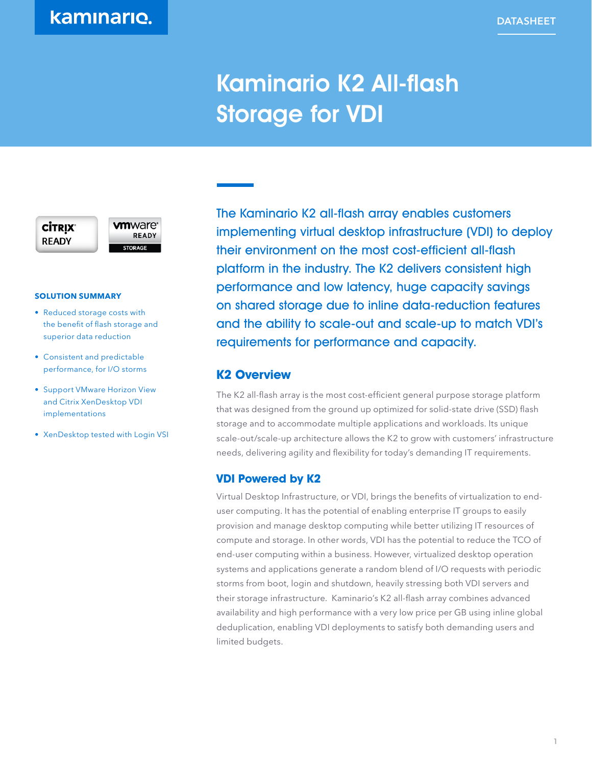# Kaminario K2 All-flash Storage for VDI

### **CİTRIX READY**

**vm**ware<sup>®</sup> **READY STORAGE** 

### **SOLUTION SUMMARY**

- Reduced storage costs with the benefit of flash storage and superior data reduction
- Consistent and predictable performance, for I/O storms
- Support VMware Horizon View and Citrix XenDesktop VDI implementations
- XenDesktop tested with Login VSI

The Kaminario K2 all-flash array enables customers implementing virtual desktop infrastructure (VDI) to deploy their environment on the most cost-efficient all-flash platform in the industry. The K2 delivers consistent high performance and low latency, huge capacity savings on shared storage due to inline data-reduction features and the ability to scale-out and scale-up to match VDI's requirements for performance and capacity.

### **K2 Overview**

The K2 all-flash array is the most cost-efficient general purpose storage platform that was designed from the ground up optimized for solid-state drive (SSD) flash storage and to accommodate multiple applications and workloads. Its unique scale-out/scale-up architecture allows the K2 to grow with customers' infrastructure needs, delivering agility and flexibility for today's demanding IT requirements.

### **VDI Powered by K2**

Virtual Desktop Infrastructure, or VDI, brings the benefits of virtualization to enduser computing. It has the potential of enabling enterprise IT groups to easily provision and manage desktop computing while better utilizing IT resources of compute and storage. In other words, VDI has the potential to reduce the TCO of end-user computing within a business. However, virtualized desktop operation systems and applications generate a random blend of I/O requests with periodic storms from boot, login and shutdown, heavily stressing both VDI servers and their storage infrastructure. Kaminario's K2 all-flash array combines advanced availability and high performance with a very low price per GB using inline global deduplication, enabling VDI deployments to satisfy both demanding users and limited budgets.